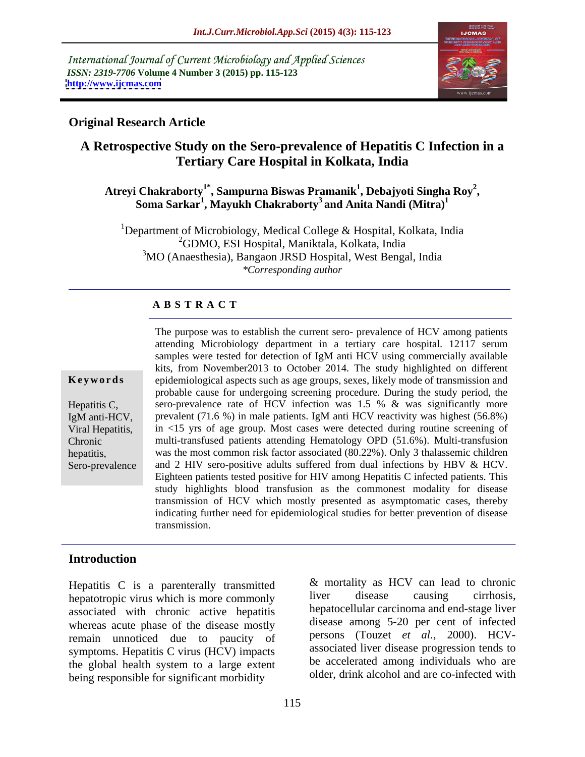International Journal of Current Microbiology and Applied Sciences *ISSN: 2319-7706* **Volume 4 Number 3 (2015) pp. 115-123 <http://www.ijcmas.com>**



# **Original Research Article**

# **A Retrospective Study on the Sero-prevalence of Hepatitis C Infection in a Tertiary Care Hospital in Kolkata, India**

### Atreyi Chakraborty<sup>1\*</sup>, Sampurna Biswas Pramanik<sup>1</sup>, Debajyoti Singha Roy<sup>2</sup>, **, Soma Sarkar<sup>1</sup> , Mayukh Chakraborty<sup>3</sup> and Anita Nandi (Mitra)<sup>1</sup>**

<sup>1</sup>Department of Microbiology, Medical College & Hospital, Kolkata, India <sup>2</sup>GDMO, ESI Hospital, Maniktala, Kolkata, India <sup>3</sup>MO (Anaesthesia), Bangaon JRSD Hospital, West Bengal, India *\*Corresponding author*

## **A B S T R A C T**

Sero-prevalence

The purpose was to establish the current sero- prevalence of HCV among patients attending Microbiology department in a tertiary care hospital. 12117 serum samples were tested for detection of IgM anti HCV using commercially available kits, from November2013 to October 2014. The study highlighted on different epidemiological aspects such as age groups, sexes, likely mode of transmission and **Ke ywo rds** probable cause for undergoing screening procedure. During the study period, the sero-prevalence rate of HCV infection was 1.5 % & was significantly more Hepatitis C, IgM anti-HCV, prevalent (71.6 %) in male patients. IgM anti HCV reactivity was highest (56.8%) Viral Hepatitis, in <15 yrs of age group. Most cases were detected during routine screening of multi-transfused patients attending Hematology OPD (51.6%). Multi-transfusion Chronic was the most common risk factor associated (80.22%). Only 3 thalassemic children hepatitis, and 2 HIV sero-positive adults suffered from dual infections by HBV & HCV. Eighteen patients tested positive for HIV among Hepatitis C infected patients. This study highlights blood transfusion as the commonest modality for disease transmission of HCV which mostly presented as asymptomatic cases, thereby indicating further need for epidemiological studies for better prevention of disease transmission.

# **Introduction**

Hepatitis C is a parenterally transmitted  $\alpha$  mortality as HCV can lead to chronic hepatotropic virus which is more commonly liver disease causing cirrhosis. hepatotropic virus which is more commonly associated with chronic active hepatitis whereas acute phase of the disease mostly remain unnoticed due to paucity of symptoms. Hepatitis C virus (HCV) impacts the global health system to a large extent being responsible for significant morbidity

& mortality as HCV can lead to chronic liver disease causing cirrhosis, hepatocellular carcinoma and end-stage liver disease among 5-20 per cent of infected persons (Touzet *et al.,* 2000). HCV associated liver disease progression tends to be accelerated among individuals who are older, drink alcohol and are co-infected with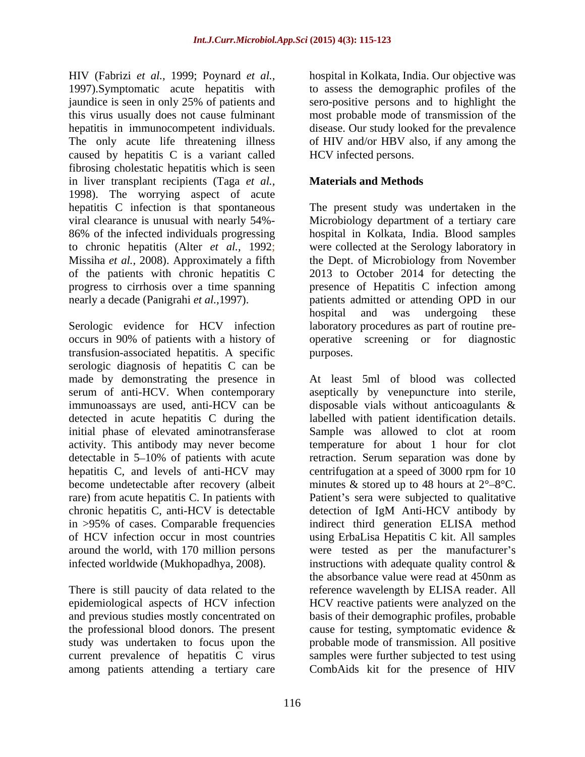HIV (Fabrizi *et al.,* 1999; Poynard *et al.,* 1997). Symptomatic acute hepatitis with to assess the demographic profiles of the jaundice is seen in only 25% of patients and sero-positive persons and to highlight the this virus usually does not cause fulminant most probable mode of transmission of the hepatitis in immunocompetent individuals. disease. Our study looked for the prevalence The only acute life threatening illness of HIV and/or HBV also, if any among the caused by hepatitis C is a variant called fibrosing cholestatic hepatitis which is seen in liver transplant recipients (Taga *et al.,* 1998). The worrying aspect of acute hepatitis C infection is that spontaneous The present study was undertaken in the viral clearance is unusual with nearly 54%- Microbiology department of a tertiary care 86% of the infected individuals progressing hospital in Kolkata, India. Blood samples to chronic hepatitis (Alter *et al.,* 1992; were collected at the Serology laboratory in Missiha *et al.,* 2008). Approximately a fifth the Dept. of Microbiology from November of the patients with chronic hepatitis C 2013 to October 2014 for detecting the progress to cirrhosis over a time spanning presence of Hepatitis C infection among

Serologic evidence for HCV infection laboratory procedures as part of routine pre occurs in 90% of patients with a history of operative screening or for diagnostic transfusion-associated hepatitis. A specific serologic diagnosis of hepatitis C can be initial phase of elevated aminotransferase Sample was allowed to clot at room chronic hepatitis C, anti-HCV is detectable detection of IgM Anti-HCV antibody by infected worldwide (Mukhopadhya, 2008). instructions with adequate quality control &

current prevalence of hepatitis C virus among patients attending a tertiary care

hospital in Kolkata, India. Our objective was HCV infected persons.

# **Materials and Methods**

nearly a decade (Panigrahi *et al.,*1997). patients admitted or attending OPD in our hospital and was undergoing these purposes.

made by demonstrating the presence in At least 5ml of blood was collected serum of anti-HCV. When contemporary aseptically by venepuncture into sterile, immunoassays are used, anti-HCV can be disposable vials without anticoagulants & detected in acute hepatitis C during the labelled with patient identification details. activity. This antibody may never become temperature for about 1 hour for clot detectable in 5–10% of patients with acute retraction. Serum separation was done by hepatitis C, and levels of anti-HCV may centrifugation at a speed of 3000 rpm for 10 become undetectable after recovery (albeit minutes  $\&$  stored up to 48 hours at  $2^{\circ}-8^{\circ}$ C. rare) from acute hepatitis C. In patients with Patient's sera were subjected to qualitative in >95% of cases. Comparable frequencies indirect third generation ELISA method of HCV infection occur in most countries using ErbaLisa Hepatitis C kit. All samples around the world, with 170 million persons were tested as per the manufacturer's There is still paucity of data related to the reference wavelength by ELISA reader. All epidemiological aspects of HCV infection HCV reactive patients were analyzed on the and previous studies mostly concentrated on basis of their demographic profiles, probable the professional blood donors. The present cause for testing, symptomatic evidence & study was undertaken to focus upon the probable mode of transmission. All positive Sample was allowed to clot at room detection of IgM Anti-HCV antibody by instructions with adequate quality control  $\&$ the absorbance value were read at 450nm as samples were further subjected to test using CombAids kit for the presence of HIV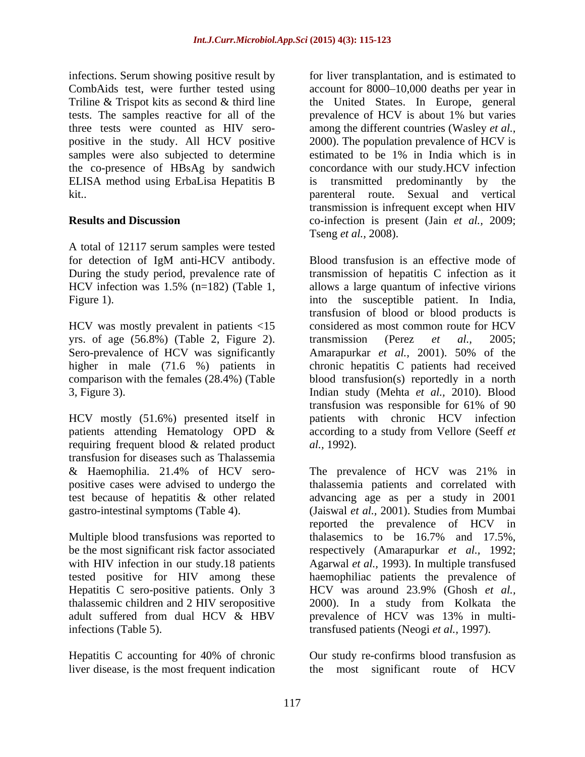infections. Serum showing positive result by tests. The samples reactive for all of the prevalence of HCV is about 1% but varies the co-presence of HBsAg by sandwich ELISA method using ErbaLisa Hepatitis B

A total of 12117 serum samples were tested

HCV was mostly prevalent in patients <15 considered as most common route for HCV

requiring frequent blood & related product al., 1992). transfusion for diseases such as Thalassemia test because of hepatitis & other related

Multiple blood transfusions was reported to the halasemics to be 16.7% and 17.5%. be the most significant risk factor associated respectively (Amarapurkar et al., 1992; Hepatitis C sero-positive patients. Only 3 HCV was around 23.9% (Ghosh et al., adult suffered from dual HCV & HBV prevalence of HCV was 13% in multi-

Hepatitis C accounting for 40% of chronic liver disease, is the most frequent indication

CombAids test, were further tested using account for 8000–10,000 deaths per year in Triline & Trispot kits as second & third line the United States. In Europe, general three tests were counted as HIV sero- among the different countries (Wasley *et al.,* positive in the study. All HCV positive 2000). The population prevalence of HCV is samples were also subjected to determine estimated to be 1% in India which is in kit.. parenteral route. Sexual and vertical **Results and Discussion** co-infection is present (Jain *et al.,* 2009; for liver transplantation, and is estimated to prevalence of HCV is about 1% but varies concordance with our study.HCV infection transmitted predominantly by transmission is infrequent except when HIV Tseng *et al.,* 2008).

for detection of IgM anti-HCV antibody. During the study period, prevalence rate of transmission of hepatitis C infection as it HCV infection was 1.5% (n=182) (Table 1, allows a large quantum of infective virions Figure 1). The susceptible patient. In India, yrs. of age (56.8%) (Table 2, Figure 2). transmission (Perez *et al.*, 2005;<br>Sero-prevalence of HCV was significantly Amarapurkar *et al.*, 2001). 50% of the higher in male (71.6 %) patients in chronic hepatitis C patients had received comparison with the females (28.4%) (Table blood transfusion(s) reportedly in a north 3, Figure 3). Indian study (Mehta *et al.,* 2010). Blood HCV mostly (51.6%) presented itself in patients with chronic HCV infection patients attending Hematology OPD & according to a study from Vellore (Seeff *et* Blood transfusion is an effective mode of transfusion of blood or blood products is considered as most common route for HCV transmission (Perez *et al.,* 2005; Amarapurkar *et al.,* 2001). 50% of the transfusion was responsible for 61% of 90 *al.,* 1992).

& Haemophilia. 21.4% of HCV sero- The prevalence of HCV was 21% in positive cases were advised to undergo the thalassemia patients and correlated with gastro-intestinal symptoms (Table 4). (Jaiswal *et al.,* 2001). Studies from Mumbai with HIV infection in our study.18 patients Agarwal *et al.*, 1993). In multiple transfused tested positive for HIV among these haemophiliac patients the prevalence of thalassemic children and 2 HIV seropositive 2000). In a study from Kolkata the infections (Table 5). transfused patients (Neogi *et al.,* 1997). advancing age as per a study in 2001 reported the prevalence of HCV in thalasemics to be 16.7% and 17.5%, respectively (Amarapurkar *et al.,* 1992; HCV was around 23.9% (Ghosh *et al.,* prevalence of HCV was 13% in multi-

> Our study re-confirms blood transfusion as the most significant route of HCV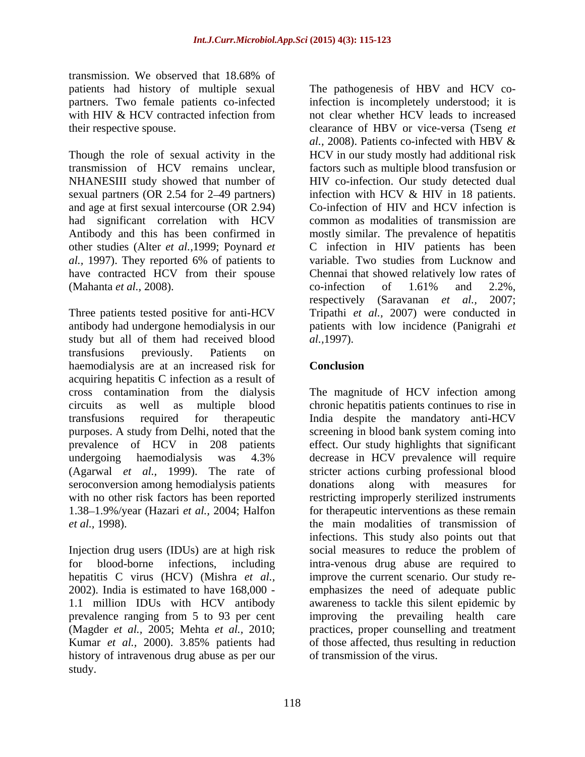transmission. We observed that 18.68% of patients had history of multiple sexual partners. Two female patients co-infected

sexual partners (OR 2.54 for 2–49 partners) and age at first sexual intercourse (OR 2.94) had significant correlation with HCV (Mahanta *et al.*, 2008). co-infection of 1.61% and 2.2%,

Three patients tested positive for anti-HCV antibody had undergone hemodialysis in our **patients** with low incidence (Panigrahi *et* study but all of them had received blood al., 1997). transfusions previously. Patients on haemodialysis are at an increased risk for **Conclusion** acquiring hepatitis C infection as a result of seroconversion among hemodialysis patients donations along with measures for 1.38 1.9%/year (Hazari *et al.,* 2004; Halfon

history of intravenous drug abuse as per our study.

with HIV & HCV contracted infection from not clear whether HCV leads to increased their respective spouse. clearance of HBV or vice-versa (Tseng *et*  Though the role of sexual activity in the HCV in ourstudy mostly had additional risk transmission of HCV remains unclear, factors such as multiple blood transfusion or NHANESIII study showed that number of HIV co-infection. Our study detected dual Antibody and this has been confirmed in mostly similar. The prevalence of hepatitis other studies (Alter *et al.,*1999; Poynard *et*  C infection in HIV patients has been *al.,* 1997). They reported 6% of patients to have contracted HCV from their spouse Chennai that showed relatively low rates of The pathogenesis of HBV and HCV coinfection is incompletely understood; it is *al.,* 2008). Patients co-infected with HBV & infection with HCV & HIV in 18 patients. Co-infection of HIV and HCV infection is common as modalities of transmission are variable. Two studies from Lucknow and co-infection of 1.61% and 2.2%, respectively (Saravanan *et al.,* 2007; Tripathi *et al.,* 2007) were conducted in *al.,*1997).

# **Conclusion**

cross contamination from the dialysis The magnitude of HCV infection among circuits as well as multiple blood chronic hepatitis patients continues to rise in transfusions required for therapeutic India despite the mandatory anti-HCV purposes. A study from Delhi, noted that the screening in blood bank system coming into prevalence of HCV in 208 patients effect. Our study highlights that significant undergoing haemodialysis was 4.3% (Agarwal *et al.,* 1999). The rate of stricter actions curbing professional blood with no other risk factors has been reported restricting improperly sterilized instruments *et al.,* 1998). the main modalities of transmission of Injection drug users (IDUs) are at high risk social measures to reduce the problem of for blood-borne infections, including intra-venous drug abuse are required to hepatitis C virus (HCV) (Mishra *et al.,* improve the current scenario. Our study re- 2002). India is estimated to have 168,000 - emphasizes the need of adequate public 1.1 million IDUs with HCV antibody awareness to tackle this silent epidemic by prevalence ranging from 5 to 93 per cent improving the prevailing health care (Magder *et al.,* 2005; Mehta *et al.,* 2010; practices, proper counselling and treatment Kumar *et al.,* 2000). 3.85% patients had decrease in HCV prevalence will require donations along with measures for for therapeutic interventions as these remain infections. This study also points out that of those affected, thus resulting in reduction of transmission of the virus.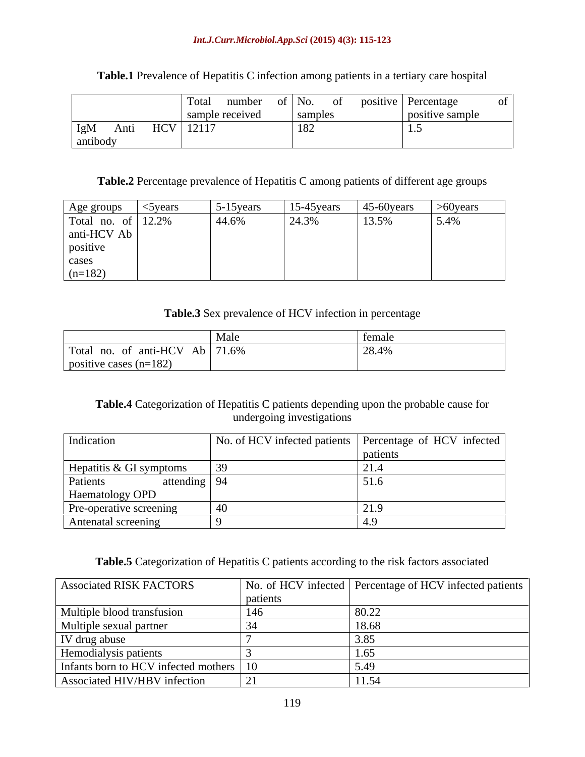### *Int.J.Curr.Microbiol.App.Sci* **(2015) 4(3): 115-123**

|                        |                 |         | Total number of No. of positive Percentage |  |
|------------------------|-----------------|---------|--------------------------------------------|--|
|                        | sample received | samples | sitive sample                              |  |
| $IgM$ Anti HCV   12117 |                 |         |                                            |  |
| antibody               |                 |         |                                            |  |

**Table.1** Prevalence of Hepatitis C infection among patients in a tertiary care hospital

# Table.2 Percentage prevalence of Hepatitis C among patients of different age groups

|                                  | $5-15$ years | $15-45$ years | $\frac{45-60 \text{years}}{50 \text{years}}$ >60 years |      |
|----------------------------------|--------------|---------------|--------------------------------------------------------|------|
| Age groups<br>Total no. of 12.2% | 44.6%        | 24.3%         | 13.5%                                                  | 5.4% |
| anti-HCV Ab                      |              |               |                                                        |      |
| positive                         |              |               |                                                        |      |
| cases                            |              |               |                                                        |      |
| $(n=182)$                        |              |               |                                                        |      |

# **Table.3** Sex prevalence of HCV infection in percentage

# **Table.4** Categorization of Hepatitis C patients depending upon the probable cause for undergoing investigations

| Indication                 | No. of HCV infected patients Percentage of HCV infected |
|----------------------------|---------------------------------------------------------|
|                            | patient:                                                |
| Hepatitis & GI symptoms    |                                                         |
| Patients<br>attending   94 |                                                         |
| Haematology OPD            |                                                         |
| Pre-operative screening    |                                                         |
| Antenatal screening        |                                                         |

# **Table.5** Categorization of Hepatitis C patients according to the risk factors associated

| <b>Associated RISK FACTORS</b>            |          | No. of HCV infected Percentage of HCV infected patients |
|-------------------------------------------|----------|---------------------------------------------------------|
|                                           | patients |                                                         |
| Multiple blood transfusion                |          |                                                         |
| Multiple sexual partner                   |          |                                                         |
| IV drug abuse                             |          |                                                         |
| Hemodialysis patients                     |          |                                                         |
| Infants born to HCV infected mothers   10 |          |                                                         |
| Associated HIV/HBV infection              |          |                                                         |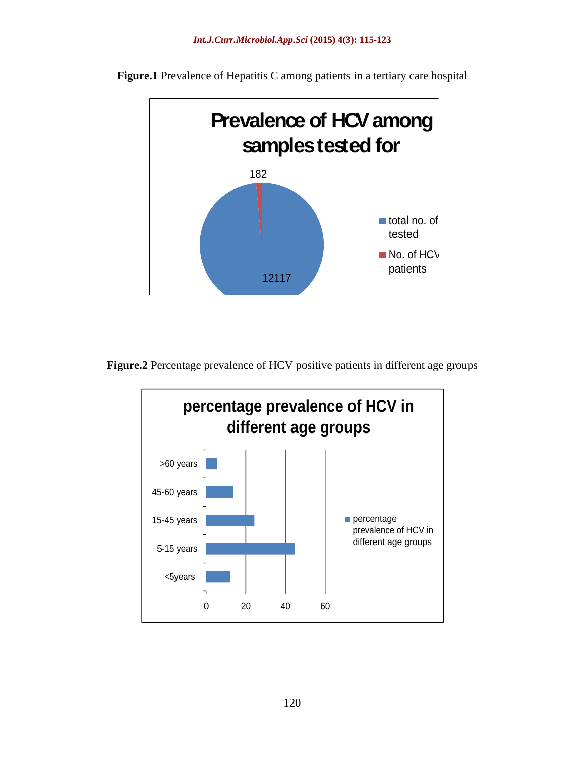

**Figure.1** Prevalence of Hepatitis C among patients in a tertiary care hospital

**Figure.2** Percentage prevalence of HCV positive patients in different age groups

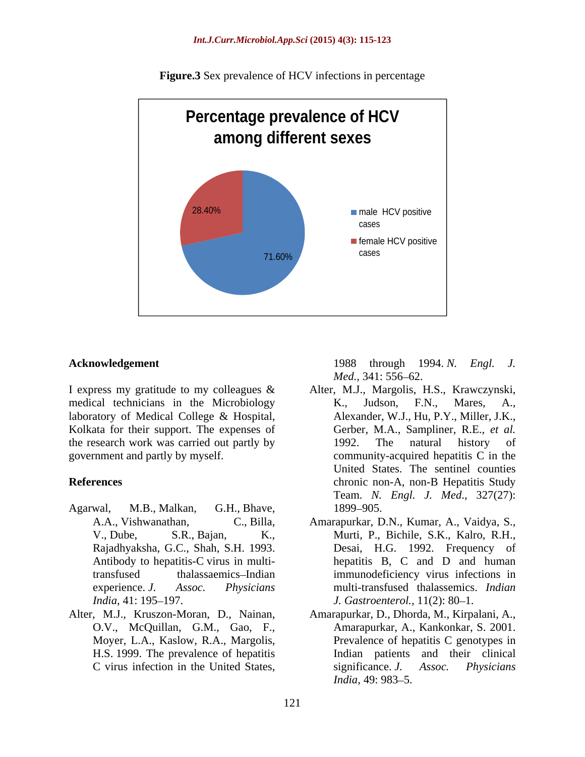

**Figure.3** Sex prevalence of HCV infections in percentage

medical technicians in the Microbiology K., Judson, F.N., Mares, A., laboratory of Medical College & Hospital, Kolkata for their support. The expenses of the research work was carried out partly by 1992. The natural history of

- Agarwal, M.B., Malkan, G.H., Bhave,
- Alter, M.J., Kruszon-Moran, D., Nainan, H.S. 1999. The prevalence of hepatitis

**Acknowledgement** 1988 through 1994. N. Engl. J.

- I express my gratitude to my colleagues & Alter, M.J., Margolis, H.S., Krawczynski, government and partly by myself. community-acquired hepatitis C in the **References** chronic non-A, non-B Hepatitis Study **Examplement**<br> **CONFIGURE:** 1988 through 1994. *N.* Engl. *J.*<br>
Alter, M.J., Margolis, H.S., Krawczynski,<br>
acal technicians in the Microbiology R. Judson, F.N., Margo, A.<br>
atatory of Medical College & Hospital,<br>
alterander K., Judson, F.N., Mares, A., Alexander, W.J., Hu, P.Y., Miller, J.K., Gerber, M.A., Sampliner, R.E., *et al.* 1992. The natural history of United States. The sentinel counties Team. *N. Engl. J. Med*., 327(27): 1899–905.
	- A.A., Vishwanathan, C., Billa, Amarapurkar, D.N., Kumar, A., Vaidya, S., V., Dube, S.R., Bajan, K., Murti, P., Bichile, S.K., Kalro, R.H., Rajadhyaksha, G.C., Shah, S.H. 1993. Desai, H.G. 1992. Frequency of Antibody to hepatitis-C virus in multi-hepatitis B, C and D and human transfused thalassaemics Indian immunodeficiency virus infections in experience. *J. Assoc. Physicians* multi-transfused thalassemics. *Indian India*, 41: 195–197. *J. Gastroenterol.*, 11(2): 80–1. Desai, H.G. 1992. Frequency of
	- O.V., McQuillan, G.M., Gao, F., Amarapurkar, A., Kankonkar, S. 2001. Moyer, L.A., Kaslow, R.A., Margolis, Prevalence of hepatitis C genotypes in Amarapurkar, D., Dhorda, M., Kirpalani, A., Indian patients and their clinical significance. *J. Assoc. Physicians India*, 49: 983–5.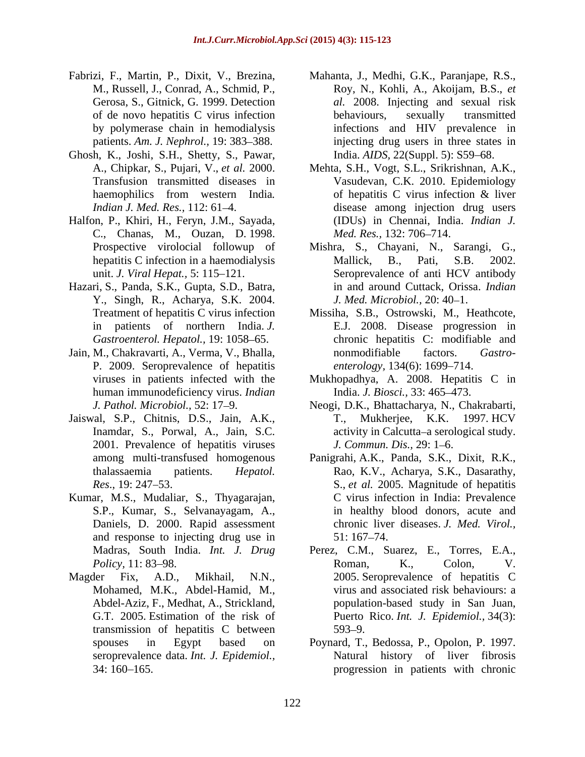- Fabrizi, F., Martin, P., Dixit, V., Brezina,
- Ghosh, K., Joshi, S.H., Shetty, S., Pawar,
- Halfon, P., Khiri, H., Feryn, J.M., Sayada, C., Chanas, M., Ouzan, D. 1998.
- Hazari, S., Panda, S.K., Gupta, S.D., Batra, Y., Singh, R., Acharya, S.K. 2004.
- Jain, M., Chakravarti, A., Verma, V., Bhalla, P. 2009. Seroprevalence of hepatitis human immunodeficiency virus. *Indian*
- Jaiswal, S.P., Chitnis, D.S., Jain, A.K., 2001. Prevalence of hepatitis viruses *J. Commun. Dis.*, 29: 1–6.
- Kumar, M.S., Mudaliar, S., Thyagarajan, Daniels, D. 2000. Rapid assessment and response to injecting drug use in  $51:167-74$ .
- transmission of hepatitis C between
- M., Russell, J., Conrad, A., Schmid, P., Roy, N., Kohli, A., Akoijam, B.S., *et* Gerosa, S., Gitnick, G. 1999. Detection *al.* 2008. Injecting and sexual risk of de novo hepatitis C virus infection by polymerase chain in hemodialysis infections and HIV prevalence in patients. Am. J. Nephrol., 19: 383–388. injecting drug users in three states in Mahanta, J., Medhi, G.K., Paranjape, R.S., behaviours, sexually transmitted India. *AIDS*, 22(Suppl. 5): S59–68.
- A., Chipkar, S., Pujari, V., *et al.* 2000. Mehta, S.H., Vogt, S.L., Srikrishnan, A.K., Transfusion transmitted diseases in Vasudevan, C.K. 2010. Epidemiology haemophilics from western India. of hepatitis C virus infection & liver<br> *Indian J. Med. Res.*, 112: 61–4. disease among injection drug users of hepatitis C virus infection & liver disease among injection drug users (IDUs) in Chennai, India. *Indian J. Med. Res.,* 132: 706–714.
- Prospective virolocial followup of Mishra, S., Chayani, N., Sarangi, G., hepatitis C infection in a haemodialysis Mallick, B., Pati, S.B. 2002. unit. *J. Viral Hepat.*, 5: 115–121. Seroprevalence of anti HCV antibody Mallick, B., Pati, in and around Cuttack, Orissa. *Indian J. Med. Microbiol., 20: 40-1.*
- Treatment of hepatitis C virus infection Missiha, S.B., Ostrowski, M., Heathcote, in patients of northern India. *J.*  E.J. 2008. Disease progression in Gastroenterol. Hepatol., 19: 1058–65. **chronic hepatitis C: modifiable and** nonmodifiable factors. *Gastro enterology*, 134(6): 1699–714.
- viruses in patients infected with the Mukhopadhya, A. 2008. Hepatitis C in India. *J. Biosci.*, 33: 465-473.
- *J. Pathol. Microbiol.,* 52: 17 9. Neogi, D.K., Bhattacharya, N., Chakrabarti, Inamdar, S., Porwal, A., Jain, S.C. activity in Calcutta–a serological study. T., Mukherjee, K.K. 1997. HCV *J. Commun. Dis., 29:* 1–6.
- among multi-transfused homogenous Panigrahi, A.K., Panda, S.K., Dixit, R.K., thalassaemia patients. *Hepatol.*  Rao, K.V., Acharya, S.K., Dasarathy, *Res*., 19: 247 53. S., *et al.* 2005. Magnitude of hepatitis S.P., Kumar, S., Selvanayagam, A., in healthy blood donors, acute and C virus infection in India: Prevalence chronic liver diseases. *J. Med. Virol.,* 51: 167 74.
- Madras, South India. *Int. J. Drug* Perez, C.M., Suarez, E., Torres, E.A., *Policy,* 11: 83–98. **Roman**, K., Colon, V. Magder Fix, A.D., Mikhail, N.N., 2005. Seroprevalence of hepatitis C Mohamed, M.K., Abdel-Hamid, M., virus and associated risk behaviours: a Abdel-Aziz, F., Medhat, A., Strickland, population-based study in San Juan, G.T. 2005. Estimation of the risk of Puerto Rico. *Int. J. Epidemiol.,* 34(3): Roman, K., Colon, V.  $593 - 9.$ 
	- spouses in Egypt based on Poynard, T., Bedossa, P., Opolon, P. 1997. seroprevalence data. *Int. J. Epidemiol.,* Natural history of liver fibrosis 34: 160 165. progression in patients with chronic